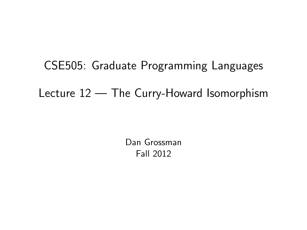# CSE505: Graduate Programming Languages Lecture 12 — The Curry-Howard Isomorphism

<span id="page-0-0"></span>Dan Grossman Fall 2012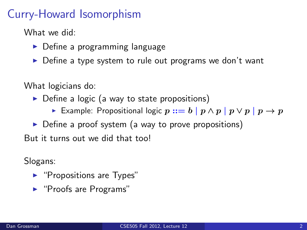# Curry-Howard Isomorphism

What we did:

- $\triangleright$  Define a programming language
- $\triangleright$  Define a type system to rule out programs we don't want

What logicians do:

- $\triangleright$  Define a logic (a way to state propositions)
	- ► Example: Propositional logic  $p ::= b | p \wedge p | p \vee p | p \rightarrow p$

 $\triangleright$  Define a proof system (a way to prove propositions)

But it turns out we did that too!

Slogans:

- $\blacktriangleright$  "Propositions are Types"
- $\blacktriangleright$  "Proofs are Programs"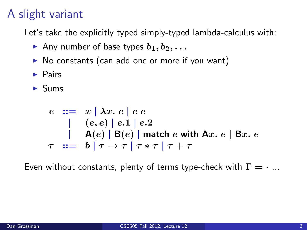# A slight variant

Let's take the explicitly typed simply-typed lambda-calculus with:

- Any number of base types  $b_1, b_2, \ldots$
- $\triangleright$  No constants (can add one or more if you want)
- $\blacktriangleright$  Pairs
- $\blacktriangleright$  Sums

$$
e ::= x | \lambda x. e | e e
$$
  
\n
$$
| (e, e) | e.1 | e.2
$$
  
\n
$$
| A(e) | B(e) |
$$
match e with Ax. e | Bx. e  
\n
$$
\tau ::= b | \tau \rightarrow \tau | \tau * \tau | \tau + \tau
$$

Even without constants, plenty of terms type-check with  $\Gamma = \cdot ...$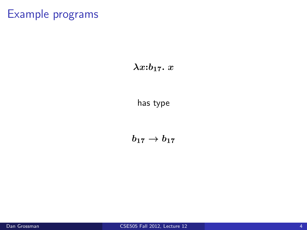#### $\lambda x : b_{17}$ . x

has type

 $b_{17} \to b_{17}$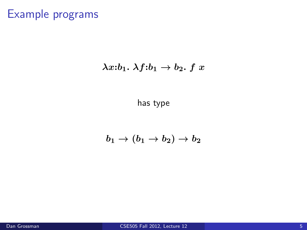#### $\lambda x:b_1. \lambda f:b_1 \rightarrow b_2. f x$

has type

#### $b_1 \rightarrow (b_1 \rightarrow b_2) \rightarrow b_2$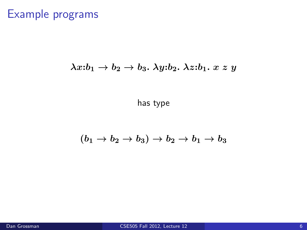#### $\lambda x:b_1 \rightarrow b_2 \rightarrow b_3$ .  $\lambda y:b_2$ .  $\lambda z:b_1$ .  $x \, z \, y$

has type

#### $(b_1 \rightarrow b_2 \rightarrow b_3) \rightarrow b_2 \rightarrow b_1 \rightarrow b_3$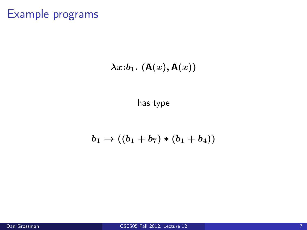### $\lambda x : b_1$ .  $(A(x), A(x))$

has type

### $b_1 \rightarrow ((b_1 + b_7) * (b_1 + b_4))$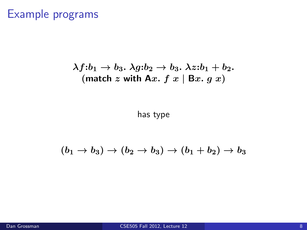$$
\lambda f : b_1 \to b_3. \ \lambda g : b_2 \to b_3. \ \lambda z : b_1 + b_2.
$$
  
(match z with Ax. f x | Bx. g x)

has type

$$
(b_1\rightarrow b_3)\rightarrow (b_2\rightarrow b_3)\rightarrow (b_1+b_2)\rightarrow b_3
$$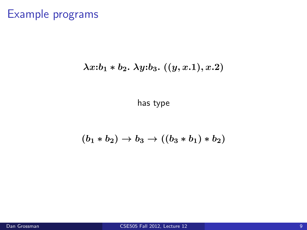### $\lambda x : b_1 * b_2$ .  $\lambda y : b_3$ .  $((y, x.1), x.2)$

has type

$$
(b_1 * b_2) \to b_3 \to ((b_3 * b_1) * b_2)
$$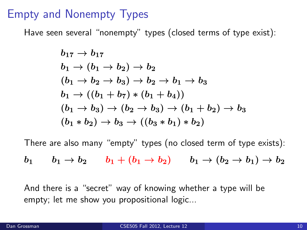### Empty and Nonempty Types

Have seen several "nonempty" types (closed terms of type exist):

$$
\begin{aligned} &b_{17} \rightarrow b_{17} \\ &b_1 \rightarrow (b_1 \rightarrow b_2) \rightarrow b_2 \\ & (b_1 \rightarrow b_2 \rightarrow b_3) \rightarrow b_2 \rightarrow b_1 \rightarrow b_3 \\ & b_1 \rightarrow ((b_1 + b_7) * (b_1 + b_4)) \\ & (b_1 \rightarrow b_3) \rightarrow (b_2 \rightarrow b_3) \rightarrow (b_1 + b_2) \rightarrow b_3 \\ & (b_1 * b_2) \rightarrow b_3 \rightarrow ((b_3 * b_1) * b_2) \end{aligned}
$$

There are also many "empty" types (no closed term of type exists):

$$
b_1 \qquad b_1 \rightarrow b_2 \qquad b_1 + (b_1 \rightarrow b_2) \qquad b_1 \rightarrow (b_2 \rightarrow b_1) \rightarrow b_2
$$

And there is a "secret" way of knowing whether a type will be empty; let me show you propositional logic...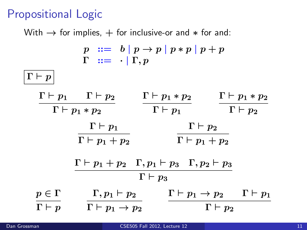# Propositional Logic

With  $\rightarrow$  for implies,  $+$  for inclusive-or and  $*$  for and:

| $p ::= b   p \rightarrow p   p * p   p + p$<br>$\Gamma \ ::= \ \cdot \mid \Gamma, p$                       |                                             |                        |                                                              |
|------------------------------------------------------------------------------------------------------------|---------------------------------------------|------------------------|--------------------------------------------------------------|
| $\boldsymbol{\Gamma \vdash p}$                                                                             |                                             |                        |                                                              |
|                                                                                                            | $\Gamma \vdash p_1 \quad \Gamma \vdash p_2$ | $\Gamma\vdash p_1*p_2$ | $\Gamma\vdash p_1*p_2$                                       |
| $\Gamma\vdash p_1*p_2$                                                                                     |                                             | $\Gamma \vdash p_1$    | $\Gamma \vdash p_2$                                          |
|                                                                                                            | $\Gamma \vdash p_1$                         | $\Gamma \vdash p_2$    |                                                              |
|                                                                                                            | $\Gamma\vdash p_1+p_2$                      | $\Gamma\vdash p_1+p_2$ |                                                              |
| $\Gamma \vdash p_1 + p_2 \quad \Gamma, p_1 \vdash p_3 \quad \Gamma, p_2 \vdash p_3$<br>$\Gamma \vdash p_3$ |                                             |                        |                                                              |
| $p\in\Gamma$                                                                                               | $\Gamma, p_1 \vdash p_2$                    |                        | $\Gamma \vdash p_1 \rightarrow p_2 \qquad \Gamma \vdash p_1$ |
| $\Gamma \vdash p$                                                                                          | $\Gamma\vdash p_1\rightarrow p_2$           |                        | $\Gamma \vdash p_2$                                          |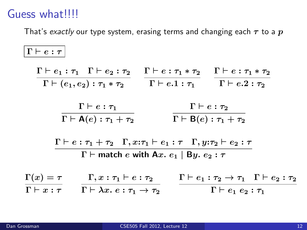# Guess what!!!!

That's exactly our type system, erasing terms and changing each  $\tau$  to a  $p$ 

$$
\frac{\Gamma \vdash e : \tau}{\Gamma \vdash (e_1, e_2) : \tau_1 * \tau_2} \quad \frac{\Gamma \vdash e : \tau_1 * \tau_2}{\Gamma \vdash (e_1, e_2) : \tau_1 * \tau_2} \quad \frac{\Gamma \vdash e : \tau_1 * \tau_2}{\Gamma \vdash e.1 : \tau_1} \quad \frac{\Gamma \vdash e : \tau_2}{\Gamma \vdash e.2 : \tau_2}
$$
\n
$$
\frac{\Gamma \vdash e : \tau_1}{\Gamma \vdash A(e) : \tau_1 + \tau_2} \quad \frac{\Gamma \vdash e : \tau_2}{\Gamma \vdash B(e) : \tau_1 + \tau_2}
$$
\n
$$
\frac{\Gamma \vdash e : \tau_1 + \tau_2 \quad \Gamma, x : \tau_1 \vdash e_1 : \tau \quad \Gamma, y : \tau_2 \vdash e_2 : \tau}{\Gamma \vdash \text{match } e \text{ with } \text{Ax. } e_1 \mid \text{By. } e_2 : \tau}
$$
\n
$$
\frac{\Gamma(x) = \tau}{\Gamma \vdash x : \tau} \quad \frac{\Gamma, x : \tau_1 \vdash e : \tau_2}{\Gamma \vdash \lambda x : e : \tau_1 \rightarrow \tau_2} \quad \frac{\Gamma \vdash e_1 : \tau_2 \rightarrow \tau_1 \quad \Gamma \vdash e_2 : \tau_2}{\Gamma \vdash e_1 e_2 : \tau_1}
$$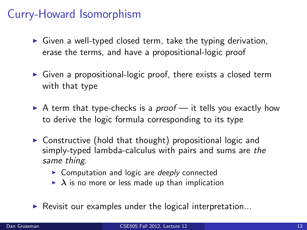# Curry-Howard Isomorphism

- $\triangleright$  Given a well-typed closed term, take the typing derivation, erase the terms, and have a propositional-logic proof
- $\triangleright$  Given a propositional-logic proof, there exists a closed term with that type
- $\triangleright$  A term that type-checks is a *proof* it tells you exactly how to derive the logic formula corresponding to its type
- $\triangleright$  Constructive (hold that thought) propositional logic and simply-typed lambda-calculus with pairs and sums are the same thing.
	- $\triangleright$  Computation and logic are *deeply* connected
	- $\triangleright$   $\lambda$  is no more or less made up than implication
- $\blacktriangleright$  Revisit our examples under the logical interpretation...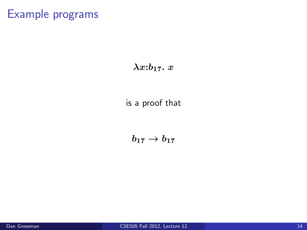#### $\lambda x : b_{17}$ . x

#### is a proof that

 $b_{17} \to b_{17}$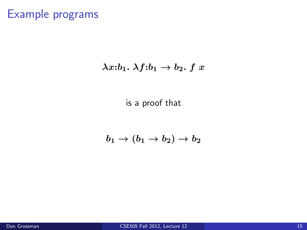#### $\lambda x:b_1. \lambda f:b_1 \rightarrow b_2. f x$

is a proof that

 $b_1 \rightarrow (b_1 \rightarrow b_2) \rightarrow b_2$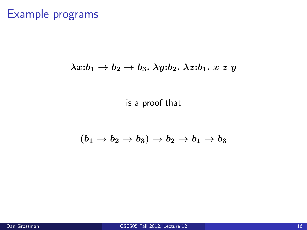#### $\lambda x:b_1 \rightarrow b_2 \rightarrow b_3$ .  $\lambda y:b_2$ .  $\lambda z:b_1$ .  $x \, z \, y$

is a proof that

$$
(b_1\rightarrow b_2\rightarrow b_3)\rightarrow b_2\rightarrow b_1\rightarrow b_3
$$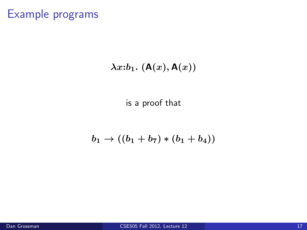### $\lambda x : b_1$ .  $(A(x), A(x))$

is a proof that

### $b_1 \rightarrow ((b_1 + b_7) * (b_1 + b_4))$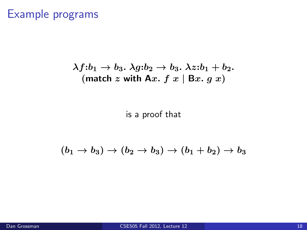$$
\lambda f : b_1 \to b_3. \ \lambda g : b_2 \to b_3. \ \lambda z : b_1 + b_2.
$$
  
(match z with Ax. f x | Bx. g x)

is a proof that

 $(b_1 \rightarrow b_3) \rightarrow (b_2 \rightarrow b_3) \rightarrow (b_1 + b_2) \rightarrow b_3$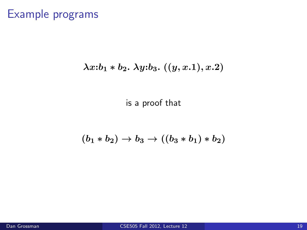#### $\lambda x : b_1 * b_2$ .  $\lambda y : b_3$ .  $((y, x.1), x.2)$

is a proof that

$$
(b_1 * b_2) \to b_3 \to ((b_3 * b_1) * b_2)
$$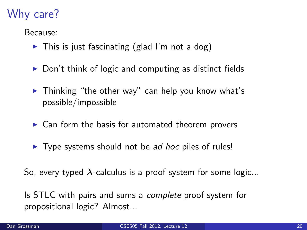# Why care?

Because:

- $\triangleright$  This is just fascinating (glad I'm not a dog)
- $\triangleright$  Don't think of logic and computing as distinct fields
- $\blacktriangleright$  Thinking "the other way" can help you know what's possible/impossible
- $\triangleright$  Can form the basis for automated theorem provers
- $\triangleright$  Type systems should not be *ad hoc* piles of rules!

So, every typed  $\lambda$ -calculus is a proof system for some logic...

Is STLC with pairs and sums a *complete* proof system for propositional logic? Almost...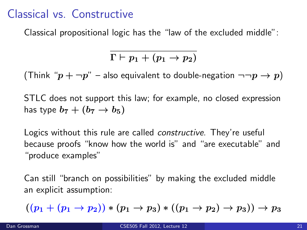### Classical vs. Constructive

Classical propositional logic has the "law of the excluded middle":

$$
\Gamma \vdash p_1 + (p_1 \rightarrow p_2)
$$

(Think " $p + \neg p$ " – also equivalent to double-negation  $\neg \neg p \rightarrow p$ )

STLC does not support this law; for example, no closed expression has type  $b_7 + (b_7 \rightarrow b_5)$ 

Logics without this rule are called *constructive*. They're useful because proofs "know how the world is" and "are executable" and "produce examples"

Can still "branch on possibilities" by making the excluded middle an explicit assumption:

$$
((p_1 + (p_1 \to p_2)) * (p_1 \to p_3) * ((p_1 \to p_2) \to p_3)) \to p_3
$$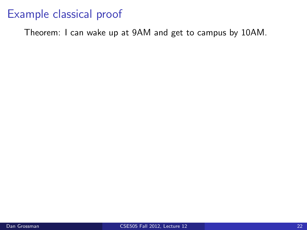Theorem: I can wake up at 9AM and get to campus by 10AM.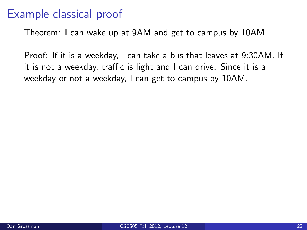Theorem: I can wake up at 9AM and get to campus by 10AM.

Proof: If it is a weekday, I can take a bus that leaves at 9:30AM. If it is not a weekday, traffic is light and I can drive. Since it is a weekday or not a weekday, I can get to campus by 10AM.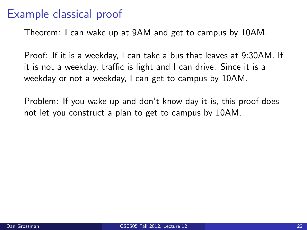Theorem: I can wake up at 9AM and get to campus by 10AM.

Proof: If it is a weekday, I can take a bus that leaves at 9:30AM. If it is not a weekday, traffic is light and I can drive. Since it is a weekday or not a weekday, I can get to campus by 10AM.

Problem: If you wake up and don't know day it is, this proof does not let you construct a plan to get to campus by 10AM.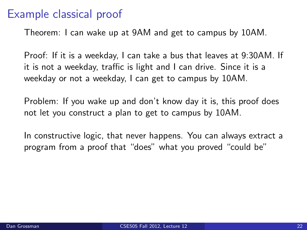Theorem: I can wake up at 9AM and get to campus by 10AM.

Proof: If it is a weekday, I can take a bus that leaves at 9:30AM. If it is not a weekday, traffic is light and I can drive. Since it is a weekday or not a weekday, I can get to campus by 10AM.

Problem: If you wake up and don't know day it is, this proof does not let you construct a plan to get to campus by 10AM.

In constructive logic, that never happens. You can always extract a program from a proof that "does" what you proved "could be"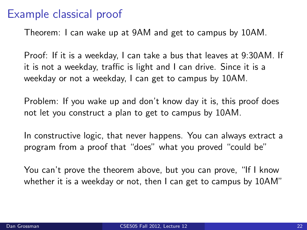Theorem: I can wake up at 9AM and get to campus by 10AM.

Proof: If it is a weekday, I can take a bus that leaves at 9:30AM. If it is not a weekday, traffic is light and I can drive. Since it is a weekday or not a weekday, I can get to campus by 10AM.

Problem: If you wake up and don't know day it is, this proof does not let you construct a plan to get to campus by 10AM.

In constructive logic, that never happens. You can always extract a program from a proof that "does" what you proved "could be"

You can't prove the theorem above, but you can prove, "If I know whether it is a weekday or not, then I can get to campus by 10AM"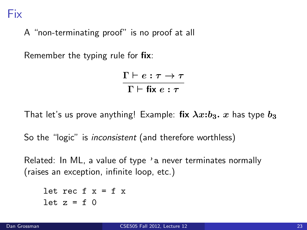A "non-terminating proof" is no proof at all

Remember the typing rule for fix:

 $\Gamma \vdash e : \tau \to \tau$  $Γ ⊢ fix e : τ$ 

That let's us prove anything! Example: fix  $\lambda x : b_3$ . x has type  $b_3$ 

So the "logic" is *inconsistent* (and therefore worthless)

Related: In ML, a value of type 'a never terminates normally (raises an exception, infinite loop, etc.)

let rec  $f \times f = f \times f$ let  $z = f$  0